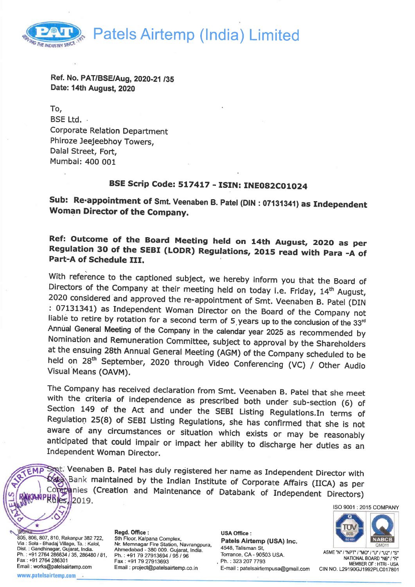Patels Airtemp (lndia) Limited



Ref. No. PAT/BSE/Aug, 2020-21 /35 Date: 14th August, 2020

To, BSE Ltd. . Corporate Relation Department Phiroze Jeejeebhoy Towers, Dalal Street, Fort, Mumbai: 400 001

# BSE Scrip Code: 517417 - ISIN: INE082C01024

Sub: Re-appointment of Smt. Veenaben B. Patel (DIN : 07131341) as Independent Woman Director of the Company.

Ref: Outcome of the Board Meeting held on 14th August, 2O2O as per Regulation 30 of the SEBI (LODR) Regulations, 2015 read with Para -A of Part-A of Schedule III.

With reference to the captioned subject, we hereby inform you that the Board of Directors of the Company at their meeting held on today i.e. Friday,  $14^{\text{th}}$  August, 2020 considered and approved the re-appointment of Sm held on 28<sup>th</sup> September, 2020 through Video Conferencing (VC) / Other Audio Visual Means (OAVM).

The Company has received declaration from Smt. Veenaben B. Patel that she meet<br>with the criteria of independence as prescribed both under sub-section (6) of<br>Section 149 of the Act and under the SEBI Listing Regulations.In anticipated that could impair or impact her ability to discharge her duties as an<br>Independent Woman Director.

Sppt. Veenaben B. Patel has duly registered her name as Independent Director with Sata Bank maintained by the Indian Institute of Corporate Affairs (IICA) as per Corporation and Maintenance of Databank of Independent Direc

ISO 9001 : 2015 COMPANY

805, 806, 807, 810, Rakanpur 382 722, Via : Sola - Bhadaj Village, Ta. : Kalol, Dist. : Gandhinagar, Gujarat, India. Ph. : +91 2764 286634 / 35, 286480 / 81, Fax: +91 2764 286301 Email : works@patelsairtemp.com www.patelsairtemp.com

RIEMP

**Alematic** 

Regd. Office: 5th Floor, Kalpana Complex, Nr. Memnagar Fire Station, Navrangpura, Ahmedabad - 380 009. Gujarat, India. Ph.: +91 79 27913694 / 95 / 96 Fax: +91 79 27913693 Email : project@patelsairtemp.co.in

USA Office : Patels Airtemp (USA) Inc. 4548, Talisman St, Torrance, CA - 90503 USA. Ph.: 323 207 7793 E-mail : patelsairtempusa@gmail.com



ASME "N" / "NPT" / "MO" / "U" / "U2" / "S" NATIONAL BOARD "NB" /'R" MEMBER OF: HTR| - USA CIN NO. L29190GJ1992PLC017801